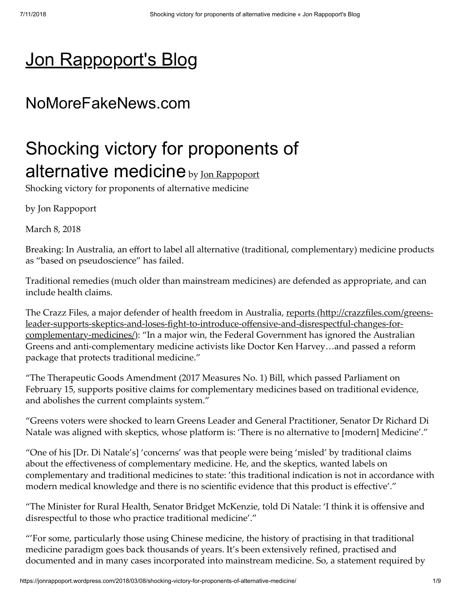# [Jon Rappoport's Blog](https://jonrappoport.wordpress.com/)

## NoMoreFakeNews.com

# Shocking victory for proponents of alternative medicine by [Jon Rappoport](https://jonrappoport.wordpress.com/author/jonrappoport/)

Shocking victory for proponents of alternative medicine

by Jon Rappoport

March 8, 2018

Breaking: In Australia, an effort to label all alternative (traditional, complementary) medicine products as "based on pseudoscience" has failed.

Traditional remedies (much older than mainstream medicines) are defended as appropriate, and can include health claims.

The Crazz Files, a major defender of health freedom in Australia, reports (http://crazzfiles.com/greensleader-supports-skeptics-and-loses-fight-to-introduce-offensive-and-disrespectful-changes-forcomplementary-medicines/): "In a major win, the Federal Government has ignored the Australian Greens and anti-complementary medicine activists like Doctor Ken Harvey…and passed a reform package that protects traditional medicine."

"The Therapeutic Goods Amendment (2017 Measures No. 1) Bill, which passed Parliament on February 15, supports positive claims for complementary medicines based on traditional evidence, and abolishes the current complaints system."

"Greens voters were shocked to learn Greens Leader and General Practitioner, Senator Dr Richard Di Natale was aligned with skeptics, whose platform is: 'There is no alternative to [modern] Medicine'."

"One of his [Dr. Di Natale's] 'concerns' was that people were being 'misled' by traditional claims about the effectiveness of complementary medicine. He, and the skeptics, wanted labels on complementary and traditional medicines to state: 'this traditional indication is not in accordance with modern medical knowledge and there is no scientific evidence that this product is effective'."

"The Minister for Rural Health, Senator Bridget McKenzie, told Di Natale: 'I think it is offensive and disrespectful to those who practice traditional medicine'."

"'For some, particularly those using Chinese medicine, the history of practising in that traditional medicine paradigm goes back thousands of years. It's been extensively refined, practised and documented and in many cases incorporated into mainstream medicine. So, a statement required by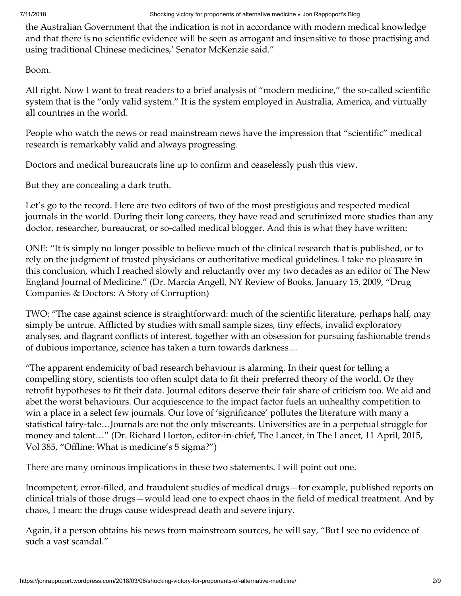the Australian Government that the indication is not in accordance with modern medical knowledge and that there is no scientific evidence will be seen as arrogant and insensitive to those practising and using traditional Chinese medicines,' Senator McKenzie said."

Boom.

All right. Now I want to treat readers to a brief analysis of "modern medicine," the so-called scientific system that is the "only valid system." It is the system employed in Australia, America, and virtually all countries in the world.

People who watch the news or read mainstream news have the impression that "scientific" medical research is remarkably valid and always progressing.

Doctors and medical bureaucrats line up to confirm and ceaselessly push this view.

But they are concealing a dark truth.

Let's go to the record. Here are two editors of two of the most prestigious and respected medical journals in the world. During their long careers, they have read and scrutinized more studies than any doctor, researcher, bureaucrat, or so-called medical blogger. And this is what they have written:

ONE: "It is simply no longer possible to believe much of the clinical research that is published, or to rely on the judgment of trusted physicians or authoritative medical guidelines. I take no pleasure in this conclusion, which I reached slowly and reluctantly over my two decades as an editor of The New England Journal of Medicine." (Dr. Marcia Angell, NY Review of Books, January 15, 2009, "Drug Companies & Doctors: A Story of Corruption)

TWO: "The case against science is straightforward: much of the scientific literature, perhaps half, may simply be untrue. Afflicted by studies with small sample sizes, tiny effects, invalid exploratory analyses, and flagrant conflicts of interest, together with an obsession for pursuing fashionable trends of dubious importance, science has taken a turn towards darkness…

"The apparent endemicity of bad research behaviour is alarming. In their quest for telling a compelling story, scientists too often sculpt data to fit their preferred theory of the world. Or they retrofit hypotheses to fit their data. Journal editors deserve their fair share of criticism too. We aid and abet the worst behaviours. Our acquiescence to the impact factor fuels an unhealthy competition to win a place in a select few journals. Our love of 'significance' pollutes the literature with many a statistical fairy-tale…Journals are not the only miscreants. Universities are in a perpetual struggle for money and talent…" (Dr. Richard Horton, editor-in-chief, The Lancet, in The Lancet, 11 April, 2015, Vol 385, "Offline: What is medicine's 5 sigma?")

There are many ominous implications in these two statements. I will point out one.

Incompetent, error-filled, and fraudulent studies of medical drugs—for example, published reports on clinical trials of those drugs—would lead one to expect chaos in the field of medical treatment. And by chaos, I mean: the drugs cause widespread death and severe injury.

Again, if a person obtains his news from mainstream sources, he will say, "But I see no evidence of such a vast scandal."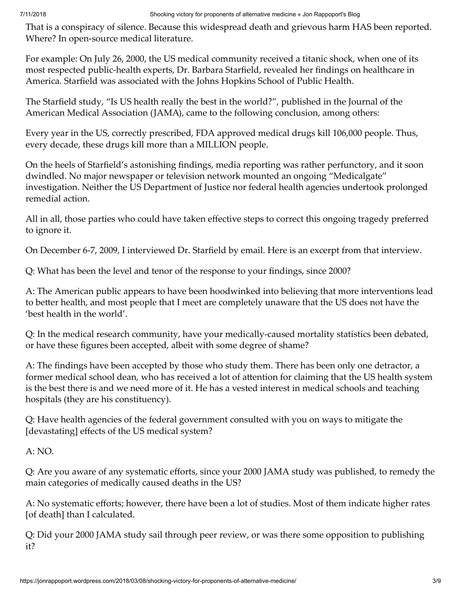That is a conspiracy of silence. Because this widespread death and grievous harm HAS been reported. Where? In open-source medical literature.

For example: On July 26, 2000, the US medical community received a titanic shock, when one of its most respected public-health experts, Dr. Barbara Starfield, revealed her findings on healthcare in America. Starfield was associated with the Johns Hopkins School of Public Health.

The Starfield study, "Is US health really the best in the world?", published in the Journal of the American Medical Association (JAMA), came to the following conclusion, among others:

Every year in the US, correctly prescribed, FDA approved medical drugs kill 106,000 people. Thus, every decade, these drugs kill more than a MILLION people.

On the heels of Starfield's astonishing findings, media reporting was rather perfunctory, and it soon dwindled. No major newspaper or television network mounted an ongoing "Medicalgate" investigation. Neither the US Department of Justice nor federal health agencies undertook prolonged remedial action.

All in all, those parties who could have taken effective steps to correct this ongoing tragedy preferred to ignore it.

On December 6-7, 2009, I interviewed Dr. Starfield by email. Here is an excerpt from that interview.

Q: What has been the level and tenor of the response to your findings, since 2000?

A: The American public appears to have been hoodwinked into believing that more interventions lead to better health, and most people that I meet are completely unaware that the US does not have the 'best health in the world'.

Q: In the medical research community, have your medically-caused mortality statistics been debated, or have these figures been accepted, albeit with some degree of shame?

A: The findings have been accepted by those who study them. There has been only one detractor, a former medical school dean, who has received a lot of attention for claiming that the US health system is the best there is and we need more of it. He has a vested interest in medical schools and teaching hospitals (they are his constituency).

Q: Have health agencies of the federal government consulted with you on ways to mitigate the [devastating] effects of the US medical system?

A: NO.

Q: Are you aware of any systematic efforts, since your 2000 JAMA study was published, to remedy the main categories of medically caused deaths in the US?

A: No systematic efforts; however, there have been a lot of studies. Most of them indicate higher rates [of death] than I calculated.

Q: Did your 2000 JAMA study sail through peer review, or was there some opposition to publishing it?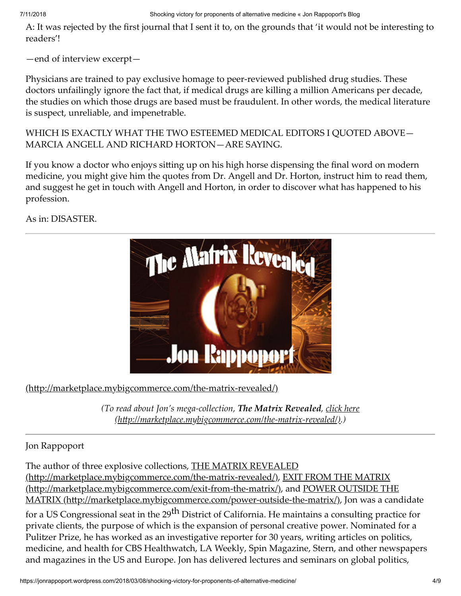7/11/2018 Shocking victory for proponents of alternative medicine « Jon Rappoport's Blog

A: It was rejected by the first journal that I sent it to, on the grounds that 'it would not be interesting to readers'!

—end of interview excerpt—

Physicians are trained to pay exclusive homage to peer-reviewed published drug studies. These doctors unfailingly ignore the fact that, if medical drugs are killing a million Americans per decade, the studies on which those drugs are based must be fraudulent. In other words, the medical literature is suspect, unreliable, and impenetrable.

WHICH IS EXACTLY WHAT THE TWO ESTEEMED MEDICAL EDITORS I QUOTED ABOVE— MARCIA ANGELL AND RICHARD HORTON—ARE SAYING.

If you know a doctor who enjoys sitting up on his high horse dispensing the final word on modern medicine, you might give him the quotes from Dr. Angell and Dr. Horton, instruct him to read them, and suggest he get in touch with Angell and Horton, in order to discover what has happened to his profession.

As in: DISASTER.



 $(\text{http://marketplace.mvbigcommerce.com/the-matrix-revealed})$ 

*(To read about Jon's mega-collection, The Matrix Revealed, click here [\(hp://marketplace.mybigcommerce.com/the-matrix-revealed/\).\)](http://marketplace.mybigcommerce.com/the-matrix-revealed/)*

Jon Rappoport

The author of three explosive collections, **THE MATRIX REVEALED** (http://marketplace.mybigcommerce.com/the-matrix-revealed/), EXI[T FROM THE MATRIX](http://marketplace.mybigcommerce.com/exit-from-the-matrix/) (http://marketplace.mybigcommerce.com/exit-from-the-matrix/), and POWER OUTSIDE THE MATRIX (http://marketplace.mybigcommerce.com/power-outside-the-matrix/), Jon was a candidate for a US Congressional seat in the 29<sup>th</sup> District of California. He maintains a consulting practice for private clients, the purpose of which is the expansion of personal creative power. Nominated for a Pulitzer Prize, he has worked as an investigative reporter for 30 years, writing articles on politics, medicine, and health for CBS Healthwatch, LA Weekly, Spin Magazine, Stern, and other newspapers and magazines in the US and Europe. Jon has delivered lectures and seminars on global politics,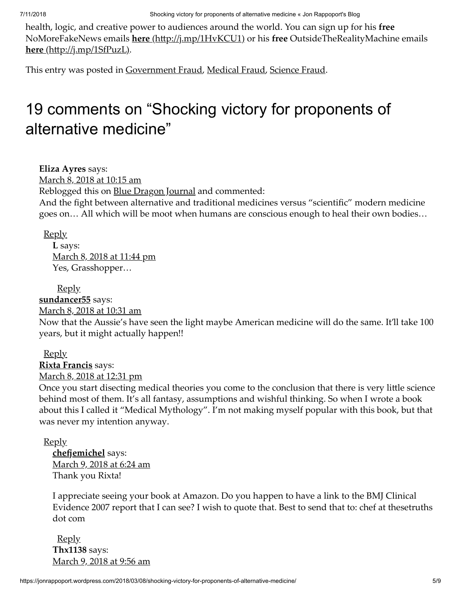health, logic, and creative power to audiences around the world. You can sign up for his **free** NoMoreFakeNews emails **here** (http://j.mp/1HvKCU1) or his free OutsideTheRealityMachine emails **here** (http://j.mp/1SfPuzL).

This entry was posted in [Government Fraud](https://jonrappoport.wordpress.com/category/government-fraud/), [Medical Fraud](https://jonrappoport.wordpress.com/category/medical-fraud/), [Science Fraud](https://jonrappoport.wordpress.com/category/science-fraud/).

## 19 comments on "Shocking victory for proponents of alternative medicine"

<span id="page-4-0"></span>**Eliza Ayres** says:

[March 8, 2018 at 10:15 am](#page-4-0)

Reblogged this on [Blue Dragon Journal](http://bluedragonjournal.com/2018/03/08/shocking-victory-for-proponents-of-alternative-medicine/) and commented:

And the fight between alternative and traditional medicines versus "scientific" modern medicine goes on… All which will be moot when humans are conscious enough to heal their own bodies…

[Reply](https://jonrappoport.wordpress.com/2018/03/08/shocking-victory-for-proponents-of-alternative-medicine/?replytocom=309098#respond)

<span id="page-4-1"></span>**L** says: [March 8, 2018 at 11:44 pm](#page-4-1) Yes, Grasshopper…

<span id="page-4-2"></span>[Reply](https://jonrappoport.wordpress.com/2018/03/08/shocking-victory-for-proponents-of-alternative-medicine/?replytocom=309185#respond) **[sundancer55](http://gravatar.com/sundancer55)** says: [March 8, 2018 at 10:31 am](#page-4-2) Now that the Aussie's have seen the light maybe American medicine will do the same. It'll take 100 years, but it might actually happen!!

<span id="page-4-3"></span>[Reply](https://jonrappoport.wordpress.com/2018/03/08/shocking-victory-for-proponents-of-alternative-medicine/?replytocom=309100#respond) **[Rixta Francis](http://thefictionofscience.wordpress.com/)** says: [March 8, 2018 at 12:31 pm](#page-4-3)

Once you start disecting medical theories you come to the conclusion that there is very little science behind most of them. It's all fantasy, assumptions and wishful thinking. So when I wrote a book about this I called it "Medical Mythology". I'm not making myself popular with this book, but that was never my intention anyway.

**[Reply](https://jonrappoport.wordpress.com/2018/03/08/shocking-victory-for-proponents-of-alternative-medicine/?replytocom=309116#respond)** 

<span id="page-4-4"></span>**chefjemichel** says: [March 9, 2018 at 6:24 am](#page-4-4) Thank you Rixta!

I appreciate seeing your book at Amazon. Do you happen to have a link to the BMJ Clinical Evidence 2007 report that I can see? I wish to quote that. Best to send that to: chef at thesetruths dot com

<span id="page-4-5"></span>**[Reply](https://jonrappoport.wordpress.com/2018/03/08/shocking-victory-for-proponents-of-alternative-medicine/?replytocom=309223#respond) Thx1138** says: [March 9, 2018 at 9:56 am](#page-4-5)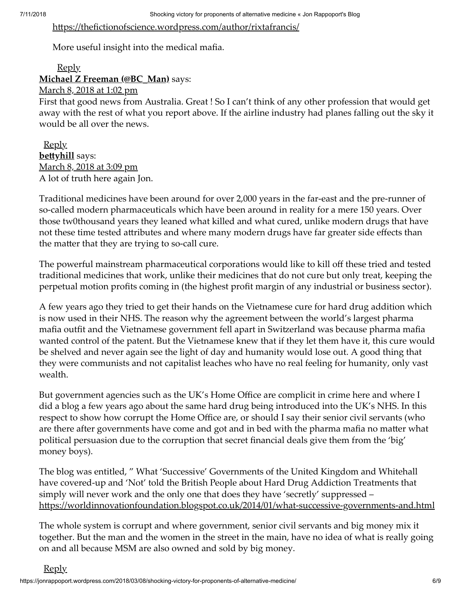#### https://thefictionofscience.wordpress.com/author/rixtafrancis/

More useful insight into the medical mafia.

#### <span id="page-5-0"></span>**[Reply](https://jonrappoport.wordpress.com/2018/03/08/shocking-victory-for-proponents-of-alternative-medicine/?replytocom=309252#respond) [Michael Z Freeman \(@BC\\_Man\)](http://twitter.com/BC_Man)** says:

[March 8, 2018 at 1:02 pm](#page-5-0)

First that good news from Australia. Great ! So I can't think of any other profession that would get away with the rest of what you report above. If the airline industry had planes falling out the sky it would be all over the news.

<span id="page-5-1"></span>[Reply](https://jonrappoport.wordpress.com/2018/03/08/shocking-victory-for-proponents-of-alternative-medicine/?replytocom=309120#respond) **bettyhill** says: [March 8, 2018 at 3:09 pm](#page-5-1) A lot of truth here again Jon.

Traditional medicines have been around for over 2,000 years in the far-east and the pre-runner of so-called modern pharmaceuticals which have been around in reality for a mere 150 years. Over those tw0thousand years they leaned what killed and what cured, unlike modern drugs that have not these time tested attributes and where many modern drugs have far greater side effects than the matter that they are trying to so-call cure.

The powerful mainstream pharmaceutical corporations would like to kill off these tried and tested traditional medicines that work, unlike their medicines that do not cure but only treat, keeping the perpetual motion profits coming in (the highest profit margin of any industrial or business sector).

A few years ago they tried to get their hands on the Vietnamese cure for hard drug addition which is now used in their NHS. The reason why the agreement between the world's largest pharma mafia outfit and the Vietnamese government fell apart in Switzerland was because pharma mafia wanted control of the patent. But the Vietnamese knew that if they let them have it, this cure would be shelved and never again see the light of day and humanity would lose out. A good thing that they were communists and not capitalist leaches who have no real feeling for humanity, only vast wealth.

But government agencies such as the UK's Home Office are complicit in crime here and where I did a blog a few years ago about the same hard drug being introduced into the UK's NHS. In this respect to show how corrupt the Home Office are, or should I say their senior civil servants (who are there after governments have come and got and in bed with the pharma mafia no matter what political persuasion due to the corruption that secret financial deals give them from the 'big' money boys).

The blog was entitled, " What 'Successive' Governments of the United Kingdom and Whitehall have covered-up and 'Not' told the British People about Hard Drug Addiction Treatments that simply will never work and the only one that does they have 'secretly' suppressed – https://worldinnovationfoundation.blogspot.co.uk/2014/01/what-successive-governments-and.html

The whole system is corrupt and where government, senior civil servants and big money mix it together. But the man and the women in the street in the main, have no idea of what is really going on and all because MSM are also owned and sold by big money.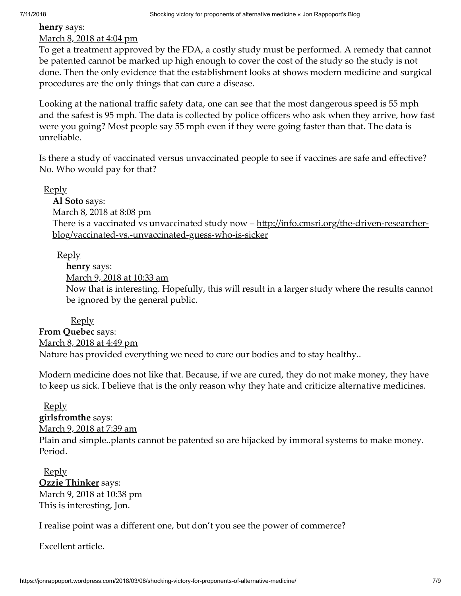### <span id="page-6-0"></span>**henry** says: [March 8, 2018 at 4:04 pm](#page-6-0)

To get a treatment approved by the FDA, a costly study must be performed. A remedy that cannot be patented cannot be marked up high enough to cover the cost of the study so the study is not done. Then the only evidence that the establishment looks at shows modern medicine and surgical procedures are the only things that can cure a disease.

Looking at the national traffic safety data, one can see that the most dangerous speed is 55 mph and the safest is 95 mph. The data is collected by police officers who ask when they arrive, how fast were you going? Most people say 55 mph even if they were going faster than that. The data is unreliable.

Is there a study of vaccinated versus unvaccinated people to see if vaccines are safe and effective? No. Who would pay for that?

[Reply](https://jonrappoport.wordpress.com/2018/03/08/shocking-victory-for-proponents-of-alternative-medicine/?replytocom=309144#respond)

<span id="page-6-1"></span>**Al Soto** says: [March 8, 2018 at 8:08 pm](#page-6-1) There is a vaccinated vs unvaccinated study now – http://info.cmsri.org/the-driven-researcherblog/vaccinated-vs.-unvaccinated-guess-who-is-sicker

### [Reply](https://jonrappoport.wordpress.com/2018/03/08/shocking-victory-for-proponents-of-alternative-medicine/?replytocom=309169#respond)

<span id="page-6-2"></span>**henry** says:

[March 9, 2018 at 10:33 am](#page-6-2)

Now that is interesting. Hopefully, this will result in a larger study where the results cannot be ignored by the general public.

<span id="page-6-3"></span>[Reply](https://jonrappoport.wordpress.com/2018/03/08/shocking-victory-for-proponents-of-alternative-medicine/?replytocom=309257#respond) **From Quebec** says: [March 8, 2018 at 4:49 pm](#page-6-3) Nature has provided everything we need to cure our bodies and to stay healthy..

Modern medicine does not like that. Because, if we are cured, they do not make money, they have to keep us sick. I believe that is the only reason why they hate and criticize alternative medicines.

#### [Reply](https://jonrappoport.wordpress.com/2018/03/08/shocking-victory-for-proponents-of-alternative-medicine/?replytocom=309152#respond)

### <span id="page-6-4"></span>**girlsfromthe** says:

[March 9, 2018 at 7:39 am](#page-6-4)

Plain and simple..plants cannot be patented so are hijacked by immoral systems to make money. Period.

<span id="page-6-5"></span>[Reply](https://jonrappoport.wordpress.com/2018/03/08/shocking-victory-for-proponents-of-alternative-medicine/?replytocom=309233#respond) **[Ozzie Thinker](http://exopolitician.wordpress.com/)** says: [March 9, 2018 at 10:38 pm](#page-6-5) This is interesting, Jon.

I realise point was a different one, but don't you see the power of commerce?

Excellent article.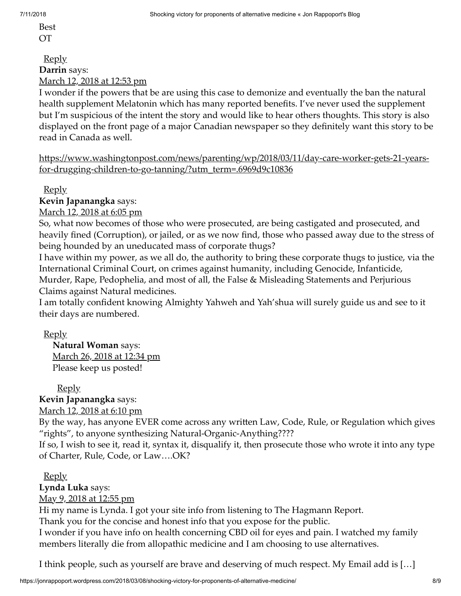Best OT

<span id="page-7-0"></span>[Reply](https://jonrappoport.wordpress.com/2018/03/08/shocking-victory-for-proponents-of-alternative-medicine/?replytocom=309358#respond) **Darrin** says: [March 12, 2018 at 12:53 pm](#page-7-0)

I wonder if the powers that be are using this case to demonize and eventually the ban the natural health supplement Melatonin which has many reported benefits. I've never used the supplement but I'm suspicious of the intent the story and would like to hear others thoughts. This story is also displayed on the front page of a major Canadian newspaper so they definitely want this story to be read in Canada as well.

https://www.washingtonpost.com/news/parenting/wp/2018/03/11/day-care-worker-gets-21-yearsfor-drugging-children-to-go-tanning/?utm\_term=.6969d9c10836

[Reply](https://jonrappoport.wordpress.com/2018/03/08/shocking-victory-for-proponents-of-alternative-medicine/?replytocom=309795#respond)

<span id="page-7-1"></span>**Kevin Japanangka** says:

[March 12, 2018 at 6:05 pm](#page-7-1)

So, what now becomes of those who were prosecuted, are being castigated and prosecuted, and heavily fined (Corruption), or jailed, or as we now find, those who passed away due to the stress of being hounded by an uneducated mass of corporate thugs?

I have within my power, as we all do, the authority to bring these corporate thugs to justice, via the International Criminal Court, on crimes against humanity, including Genocide, Infanticide, Murder, Rape, Pedophelia, and most of all, the False & Misleading Statements and Perjurious

Claims against Natural medicines.

I am totally confident knowing Almighty Yahweh and Yah'shua will surely guide us and see to it their days are numbered.

[Reply](https://jonrappoport.wordpress.com/2018/03/08/shocking-victory-for-proponents-of-alternative-medicine/?replytocom=309859#respond)

<span id="page-7-2"></span>**Natural Woman** says: [March 26, 2018 at 12:34 pm](#page-7-2) Please keep us posted!

[Reply](https://jonrappoport.wordpress.com/2018/03/08/shocking-victory-for-proponents-of-alternative-medicine/?replytocom=314678#respond)

<span id="page-7-3"></span>**Kevin Japanangka** says:

[March 12, 2018 at 6:10 pm](#page-7-3)

By the way, has anyone EVER come across any written Law, Code, Rule, or Regulation which gives "rights", to anyone synthesizing Natural-Organic-Anything????

If so, I wish to see it, read it, syntax it, disqualify it, then prosecute those who wrote it into any type of Charter, Rule, Code, or Law….OK?

[Reply](https://jonrappoport.wordpress.com/2018/03/08/shocking-victory-for-proponents-of-alternative-medicine/?replytocom=309863#respond)

<span id="page-7-4"></span>**Lynda Luka** says:

[May 9, 2018 at 12:55 pm](#page-7-4)

Hi my name is Lynda. I got your site info from listening to The Hagmann Report.

Thank you for the concise and honest info that you expose for the public.

I wonder if you have info on health concerning CBD oil for eyes and pain. I watched my family members literally die from allopathic medicine and I am choosing to use alternatives.

I think people, such as yourself are brave and deserving of much respect. My Email add is […]